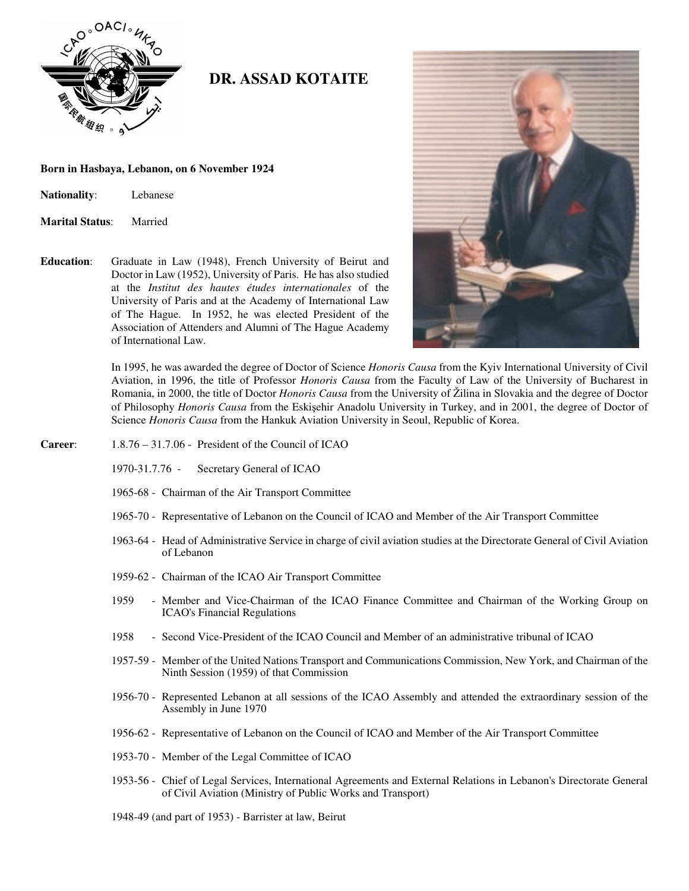

## **DR. ASSAD KOTAITE DR. ASSAD KOTAITE**

## **Born in Hasbaya, Lebanon, on 6 November 1924**

| <b>Nationality:</b> | Lebanese |
|---------------------|----------|
|---------------------|----------|

- **Marital Status**: Married
- **Education**: Graduate in Law (1948), French University of Beirut and Doctor in Law (1952), University of Paris. He has also studied at the *Institut des hautes études internationales* of the University of Paris and at the Academy of International Law of The Hague. In 1952, he was elected President of the Association of Attenders and Alumni of The Hague Academy of International Law.



In 1995, he was awarded the degree of Doctor of Science *Honoris Causa* from the Kyiv International University of Civil Aviation, in 1996, the title of Professor *Honoris Causa* from the Faculty of Law of the University of Bucharest in Romania, in 2000, the title of Doctor *Honoris Causa* from the University of Žilina in Slovakia and the degree of Doctor of Philosophy *Honoris Causa* from the Eskiehir Anadolu University in Turkey, and in 2001, the degree of Doctor of Science *Honoris Causa* from the Hankuk Aviation University in Seoul, Republic of Korea.

## **Career**: 1.8.76 – 31.7.06 - President of the Council of ICAO

- 1970-31.7.76 Secretary General of ICAO
- 1965-68 Chairman of the Air Transport Committee
- 1965-70 Representative of Lebanon on the Council of ICAO and Member of the Air Transport Committee
- 1963-64 Head of Administrative Service in charge of civil aviation studies at the Directorate General of Civil Aviation of Lebanon
- 1959-62 Chairman of the ICAO Air Transport Committee
- 1959 Member and Vice-Chairman of the ICAO Finance Committee and Chairman of the Working Group on ICAO's Financial Regulations
- 1958 Second Vice-President of the ICAO Council and Member of an administrative tribunal of ICAO
- 1957-59 Member of the United Nations Transport and Communications Commission, New York, and Chairman of the Ninth Session (1959) of that Commission
- 1956-70 Represented Lebanon at all sessions of the ICAO Assembly and attended the extraordinary session of the Assembly in June 1970
- 1956-62 Representative of Lebanon on the Council of ICAO and Member of the Air Transport Committee
- 1953-70 Member of the Legal Committee of ICAO
- 1953-56 Chief of Legal Services, International Agreements and External Relations in Lebanon's Directorate General of Civil Aviation (Ministry of Public Works and Transport)
- 1948-49 (and part of 1953) Barrister at law, Beirut